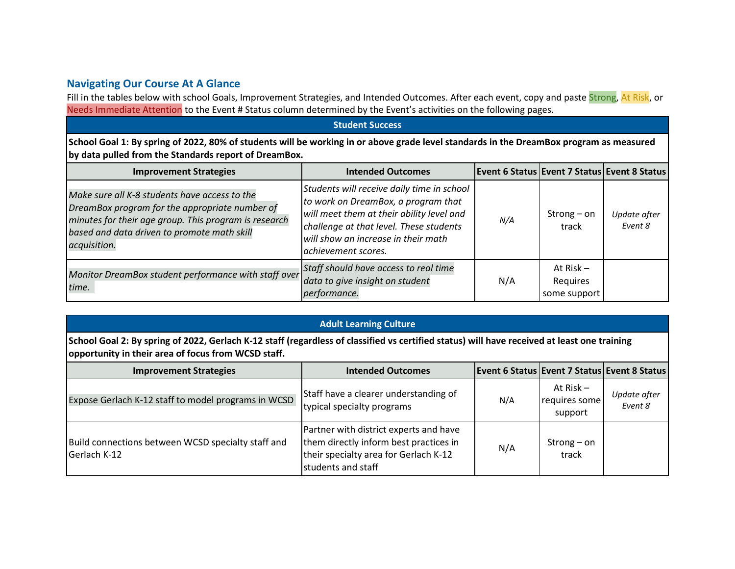## **Navigating Our Course At A Glance**

Fill in the tables below with school Goals, Improvement Strategies, and Intended Outcomes. After each event, copy and paste Strong, At Risk, or Needs Immediate Attention to the Event # Status column determined by the Event's activities on the following pages.

## **Student Success**

**School Goal 1: By spring of 2022, 80% of students will be working in or above grade level standards in the DreamBox program as measured by data pulled from the Standards report of DreamBox.**

| <b>Improvement Strategies</b>                                                                                                                                                                                           | <b>Intended Outcomes</b>                                                                                                                                                                                                                |     |                                         | <b>Event 6 Status Event 7 Status Event 8 Status</b> |
|-------------------------------------------------------------------------------------------------------------------------------------------------------------------------------------------------------------------------|-----------------------------------------------------------------------------------------------------------------------------------------------------------------------------------------------------------------------------------------|-----|-----------------------------------------|-----------------------------------------------------|
| Make sure all K-8 students have access to the<br>DreamBox program for the appropriate number of<br>minutes for their age group. This program is research<br>based and data driven to promote math skill<br>acquisition. | Students will receive daily time in school<br>to work on DreamBox, a program that<br>will meet them at their ability level and<br>challenge at that level. These students<br>will show an increase in their math<br>achievement scores. | N/A | Strong $-$ on<br>track                  | Update after<br>Event 8                             |
| Monitor DreamBox student performance with staff over<br>time.                                                                                                                                                           | Staff should have access to real time<br>data to give insight on student<br>performance.                                                                                                                                                | N/A | At Risk $-$<br>Requires<br>some support |                                                     |

## **Adult Learning Culture**

School Goal 2: By spring of 2022, Gerlach K-12 staff (regardless of classified vs certified status) will have received at least one training **opportunity in their area of focus from WCSD staff.**

| <b>Improvement Strategies</b>                                      | <b>Intended Outcomes</b>                                                                                                                        |     |                                         | <b>Event 6 Status Event 7 Status Event 8 Status</b> |
|--------------------------------------------------------------------|-------------------------------------------------------------------------------------------------------------------------------------------------|-----|-----------------------------------------|-----------------------------------------------------|
| Expose Gerlach K-12 staff to model programs in WCSD                | Staff have a clearer understanding of<br>typical specialty programs                                                                             | N/A | At $Risk -$<br>requires some<br>support | Update after<br>Event 8                             |
| Build connections between WCSD specialty staff and<br>Gerlach K-12 | Partner with district experts and have<br>them directly inform best practices in<br>their specialty area for Gerlach K-12<br>students and staff | N/A | Strong $-$ on<br>track                  |                                                     |